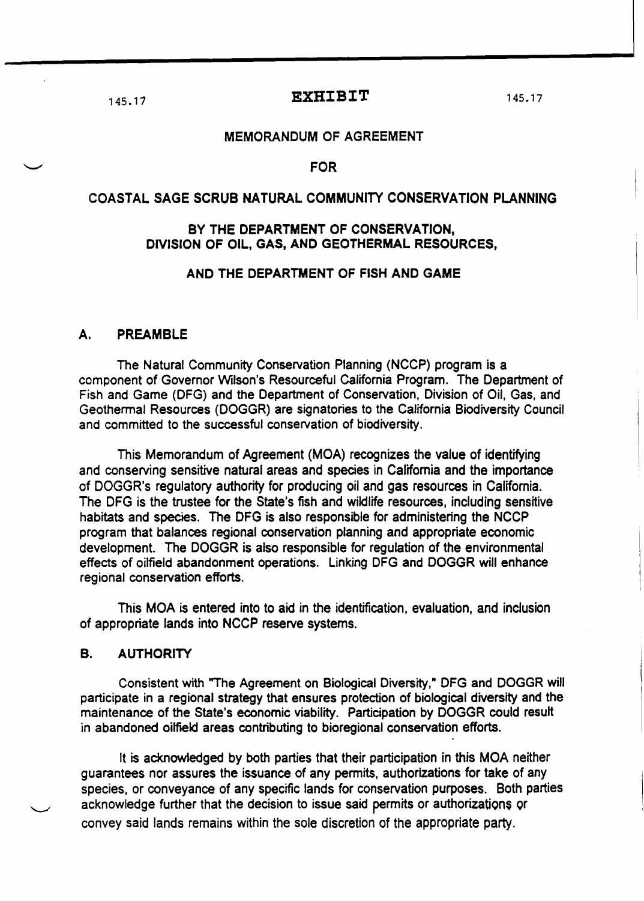# 145.17 **EXHIBIT** 145.17

### MEMORANDUM OF AGREEMENT

### FOR

## COASTAL SAGE SCRUB NATURAL COMMUNITY CONSERVATION PLANNING

## BY THE DEPARTMENT OF CONSERVATION, DlVlSION OF OIL, GAS, AND GEOTHERMAL RESOURCES,

## AND THE DEPARTMENT OF FISH AND GAME

## A. PREAMBLE

The Natural Community Conservation Planning (NCCP) program is a component of Governor Wilson's Resourceful California Program. The Department of Fish and Game (DFG) and the Department of Conservation, Division of Oil, Gas, and Geothermal Resources (DOGGR) are signatories to the California Biodiversity Council and committed to the successful conservation of biodiversity.

This Memorandum of Agreement (MOA) recognizes the value of identifying and conserving sensitive natural areas and species in California and the importance of DOGGR's regulatory authority for producing oil and gas resources in California. The DFG is the trustee for the State's fish and wildlife resources. including sensitive habitats and species. The DFG is also responsible for administering the NCCP program that balances regional conservation planning and appropriate economic development. The DOGGR is also responsible for regulation of the environmental effects of oilfield abandonment operations. Linking DFG and DOGGR will enhance regional conservation efforts.

This MOA is entered into to aid in the identification. evaluation. and inclusion of appropriate lands into NCCP reserve systems.

### B. AUTHORITY

Consistent with "The Agreement on Biological Diversity," DFG and DOGGR will participate in a regional strategy that ensures protection of biological diversity and the maintenance of the State's economic viability. Participation by DOGGR could result in abandoned oilfield areas contributing to bioregional conservation efforts.

It is acknowiedged by both parties that their participation in this MOA neither guarantees nor assures the issuance of any permits, authorizations for take of any species, or conveyance of any specific lands for conservation purposes. Both parties acknowledge further that the decision to issue said permits or authorizations or convey said lands remains within the sole discretion of the appropriate party.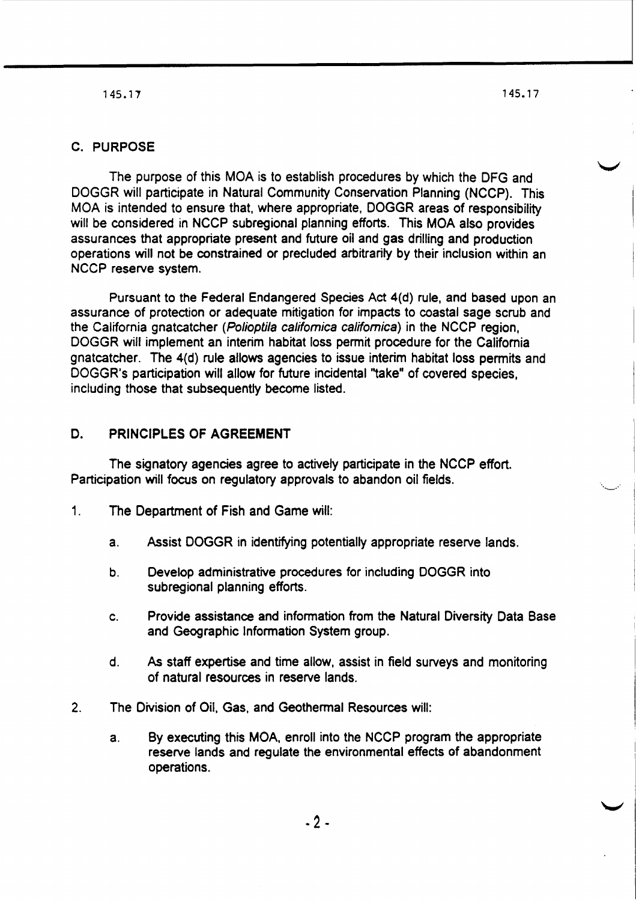**145.17** 145.17

## C. PURPOSE

The purpose of this MOA is to establish procedures by which the DFG and DOGGR will participate in Natural Community Conservation Planning (NCCP). This MOA is intended to ensure that. where appropriate, DOGGR areas of responsibility will be considered in NCCP subregional planning efforts. This MOA also provides assurances that appropriate present and future oil and gas drilling and production operations will not be constrained or precluded arbitrarily by their inclusion within an NCCP reserve system.

Pursuant to the Federal Endangered Species Act 4(d) rule, and based upon an assurance of protection or adequate mitigation for impacts to coastal sage scrub and the California gnatcatcher (Polioptila califomica califomica) in the NCCP region, DOGGR will implement an interim habitat loss permit procedure for the California gnatcatcher. The 4{d) rule allows agencies to issue interim habitat loss permits and DOGGR's participation will allow for future incidental "take" of covered species, including those that subsequently become listed.

# D. PRINCIPLES OF AGREEMENT

The signatory agencies agree to actively participate in the NCCP effort. Participation will focus on regulatory approvals to abandon oil fields.

- 1. The Department of Fish and Game will:
	- a. Assist DOGGR in identifying potentially appropriate reserve lands.
	- b. Develop administrative procedures for including DOGGR into subregional planning efforts.
	- C. Provide assistance and information from the Natural Diversity Data Base and Geographic Information System group.
	- d. As staff expertise and time allow, assist in field surveys and monitoring of natural resources in reserve lands.
- 2. The Division of Oil, Gas, and Geothermal Resources will:
	- a. By executing this MOA, enroll into the NCCP program the appropriate reserve lands and regulate the environmental effects of abandonment operations.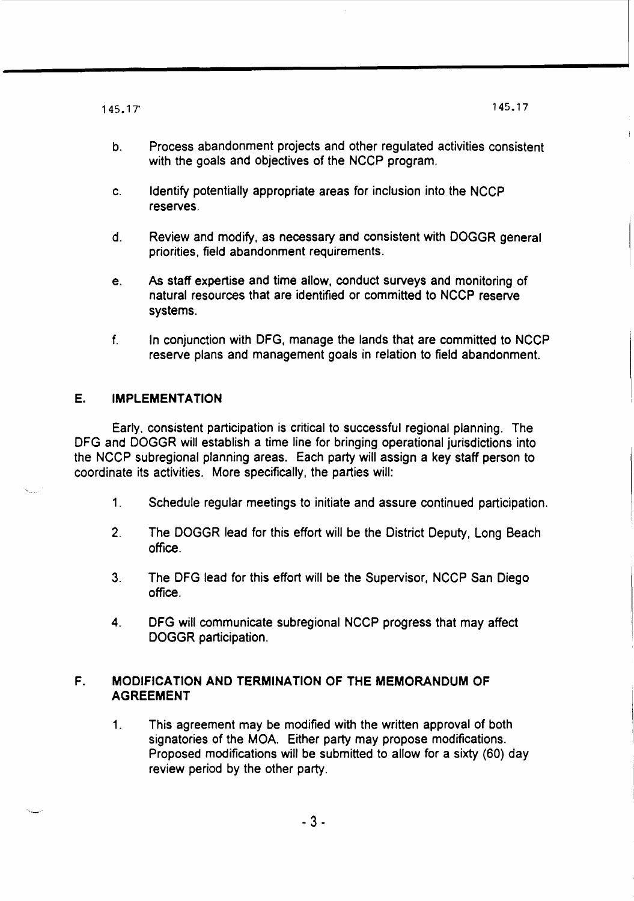145.17' 145.17

- b. Process abandonment projects and other regulated activities consistent with the goals and objectives of the NCCP program.
- c. Identify potentially appropriate areas for inclusion into the NCCP reserves.
- d. Review and modify, as necessary and consistent with DOGGR general priorities, field abandonment requirements.
- e. As staff expertise and time allow, conduct surveys and monitoring of natural resources that are identified or committed to NCCP reserve systems.
- f. In conjunction with DFG, manage the lands that are committed to NCCP reserve plans and management goals in relation to field abandonment.

## E. IMPLEMENTATION

Earty, consistent participation is critical to successful regional planning. The DFG and DOGGR will establish a time line for bringing operational jurisdictions into the NCCP subregional planning areas. Each party will assign a key staff person to coordinate its activities. More specifically, the parties will:

- 1. Schedule regular meetings to initiate and assure continued participation.
- 2. The DOGGR lead for this effort will be the District Deputy, Long Beach office.
- 3. The DFG lead for this effort will be the Supervisor, NCCP San Diego office.
- 4. DFG will communicate subregional NCCP progress that may affect DOGGR participation.

## F. MODIFICATION AND TERMINATION OF THE MEMORANDUM OF AGREEMENT

1. This agreement may be modified with the written approval of both signatories of the MOA. Either party may propose modifications. Proposed modifications will be submitted to allow for a sixty (60) day review period by the other party.